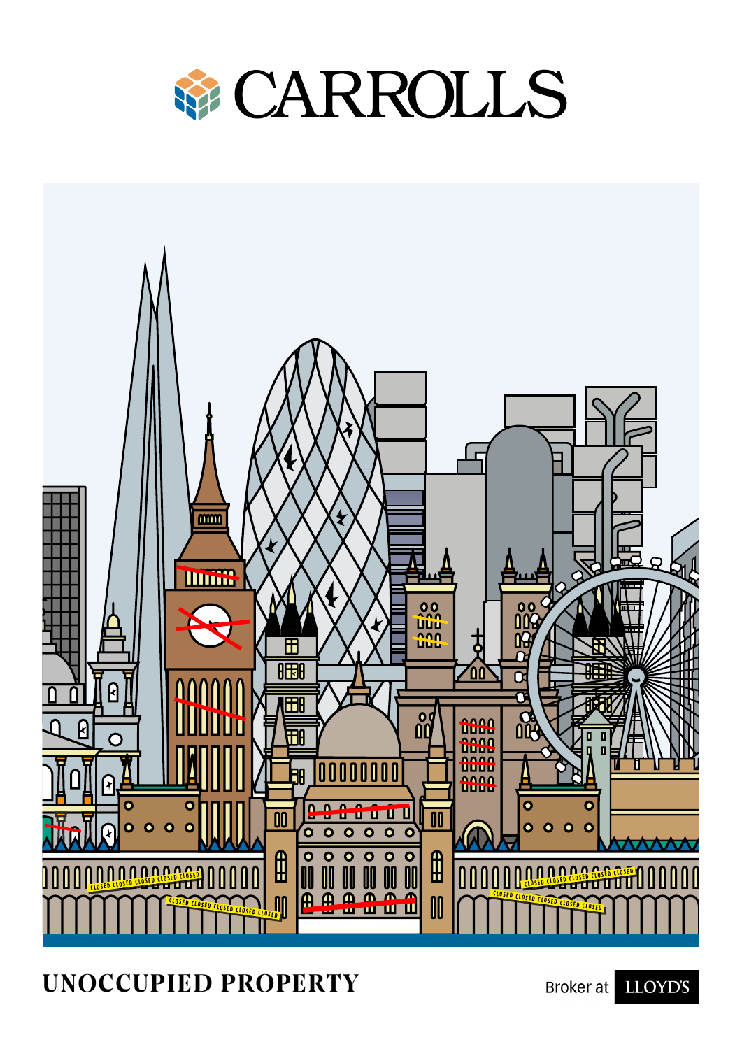



**UNOCCUPIED PROPERTY** 

**LLOYD'S** Broker at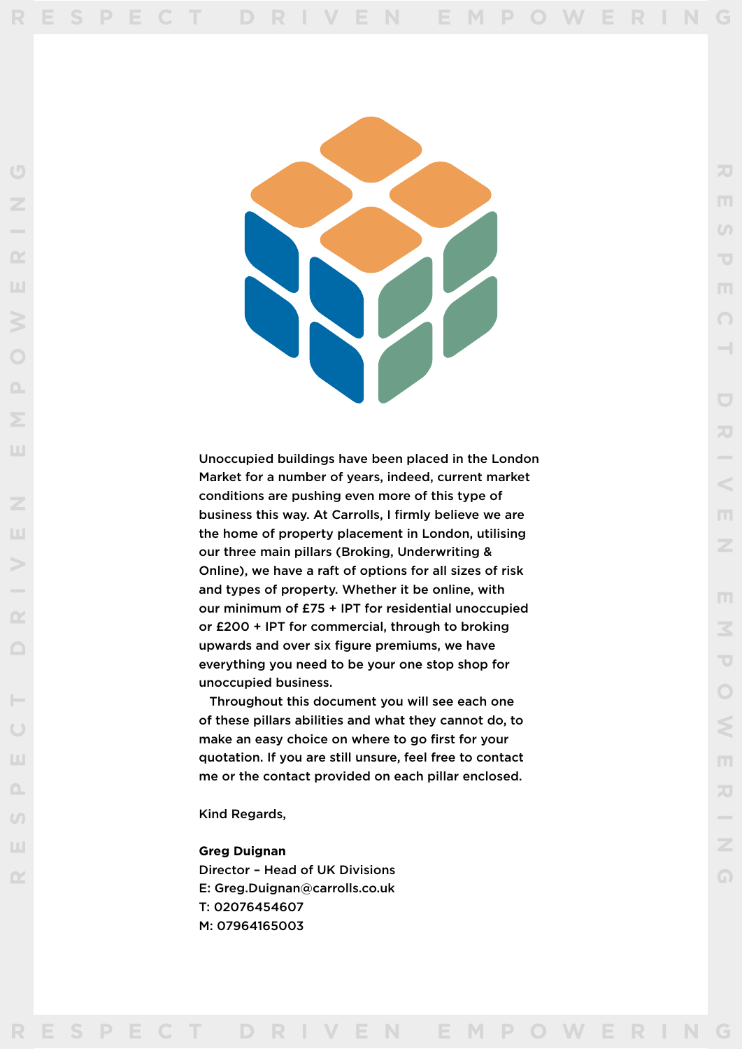Unoccupied buildings have been placed in the London Market for a number of years, indeed, current market conditions are pushing even more of this type of business this way. At Carrolls, I firmly believe we are the home of property placement in London, utilising our three main pillars (Broking, Underwriting & Online), we have a raft of options for all sizes of risk and types of property. Whether it be online, with our minimum of £75 + IPT for residential unoccupied or £200 + IPT for commercial, through to broking upwards and over six figure premiums, we have everything you need to be your one stop shop for unoccupied business.

Throughout this document you will see each one of these pillars abilities and what they cannot do, to make an easy choice on where to go first for your quotation. If you are still unsure, feel free to contact me or the contact provided on each pillar enclosed.

Kind Regards,

**RESPECT DRIVEN EMPOWERING**

ш

н

 $\begin{array}{c} \square \end{array}$ 

ш

 $\Box$ 

 $\omega$ 

ш

 $\cup$ 

Q2

ш

 $\Omega$ 

ш

### **Greg Duignan**

Director – Head of UK Divisions E: Greg.Duignan@carrolls.co.uk T: 02076454607 M: 07964165003

**RESPECT DRIVEN EMPOWERING**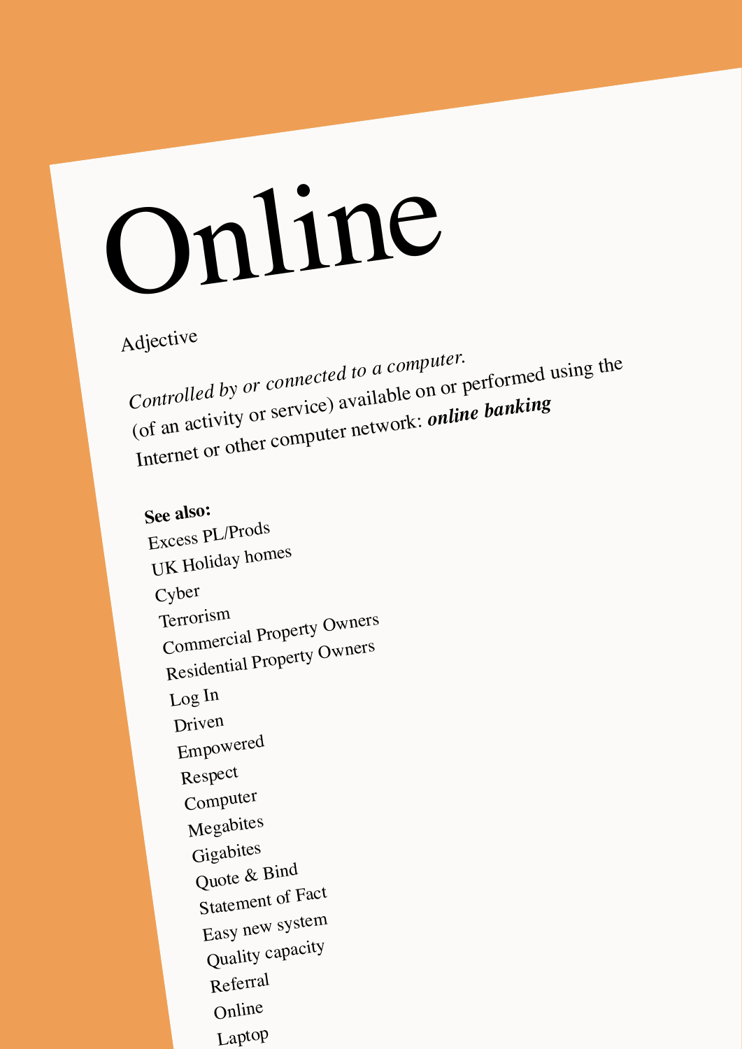### Online

### Adjective

*Controlled by or connected to a computer.* (of an activity or service) available on or performed using the Internet or other computer network: *online banking*

**See also:** Excess PL/Prods UK Holiday homes Cyber Terrorism Commercial Property Owners Residential Property Owners Log In Driven Empowered Respect Computer Megabites Gigabites Quote & Bind Statement of Fact Easy new system Quality capacity Referral Online Laptop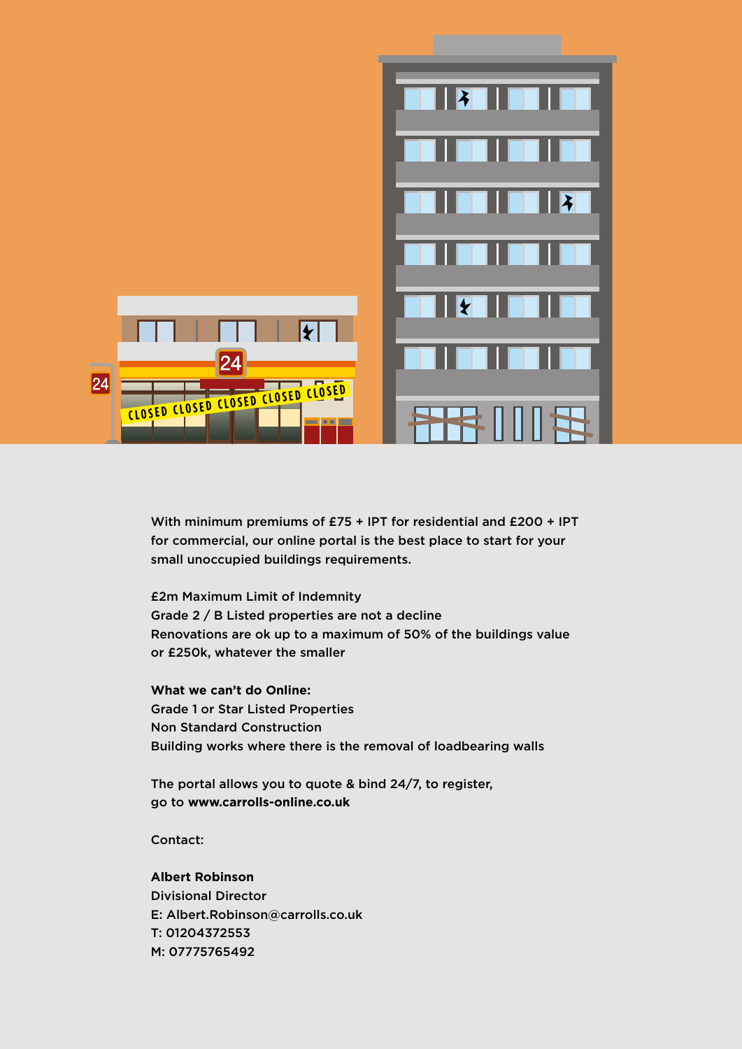

With minimum premiums of £75 + IPT for residential and £200 + IPT for commercial, our online portal is the best place to start for your small unoccupied buildings requirements.

£2m Maximum Limit of Indemnity Grade 2 / B Listed properties are not a decline Renovations are ok up to a maximum of 50% of the buildings value or £250k, whatever the smaller

**What we can't do Online:** Grade 1 or Star Listed Properties Non Standard Construction Building works where there is the removal of loadbearing walls

The portal allows you to quote & bind 24/7, to register, go to **www.carrolls-online.co.uk**

Contact:

### **Albert Robinson**

Divisional Director E: Albert.Robinson@carrolls.co.uk T: 01204372553 M: 07775765492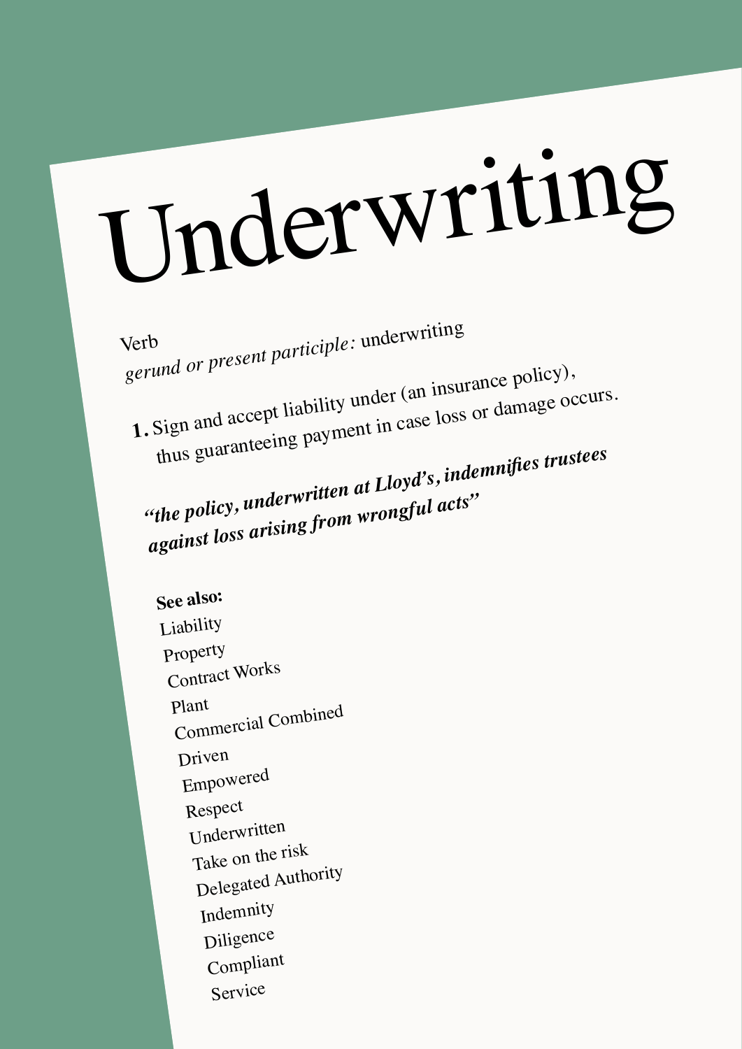# Underwriting

Verb *gerund or present participle:* underwriting **1.** Sign and accept liability under (an insurance policy), thus guaranteeing payment in case loss or damage occurs. *"the policy, underwritten at Lloyd's, indemnifies trustees* 

*against loss arising from wrongful acts"*

**See also:** Liability Property Contract Works Plant Commercial Combined Driven Empowered Respect Underwritten Take on the risk Delegated Authority Indemnity Diligence Compliant Service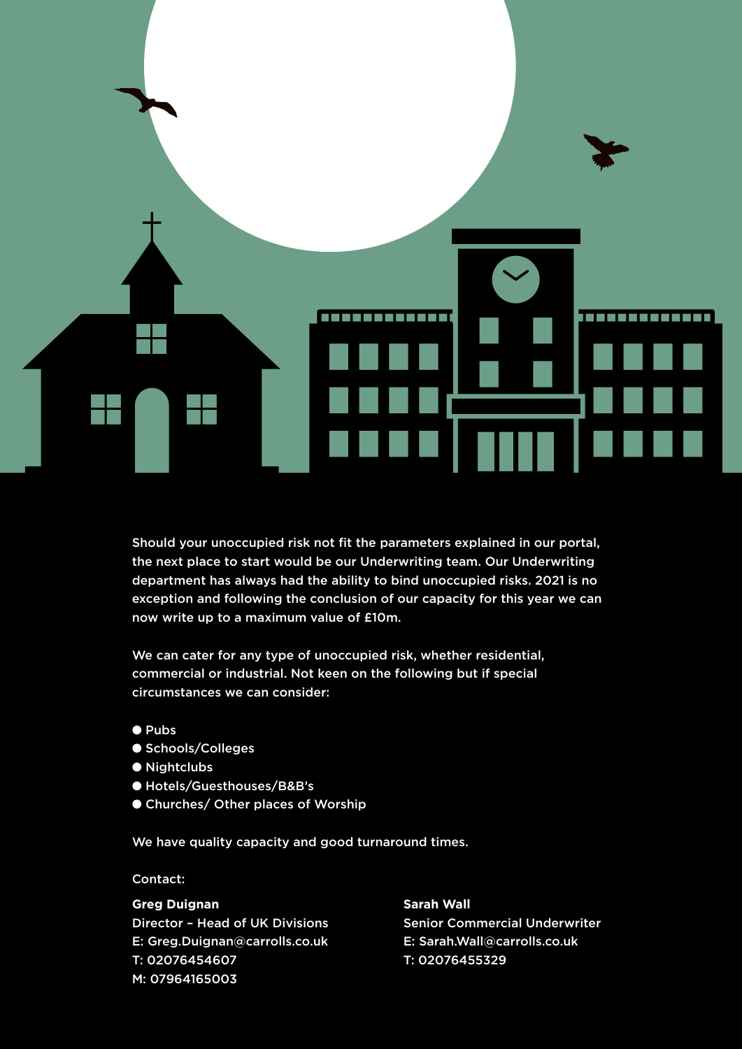

Should your unoccupied risk not fit the parameters explained in our portal, the next place to start would be our Underwriting team. Our Underwriting department has always had the ability to bind unoccupied risks. 2021 is no exception and following the conclusion of our capacity for this year we can now write up to a maximum value of £10m.

We can cater for any type of unoccupied risk, whether residential, commercial or industrial. Not keen on the following but if special circumstances we can consider:

- Pubs
- Schools/Colleges
- Nightclubs
- Hotels/Guesthouses/B&B's
- Churches/ Other places of Worship

We have quality capacity and good turnaround times.

Contact:

**Greg Duignan** Director – Head of UK Divisions E: Greg.Duignan@carrolls.co.uk T: 02076454607 M: 07964165003

**Sarah Wall** Senior Commercial Underwriter E: Sarah.Wall@carrolls.co.uk T: 02076455329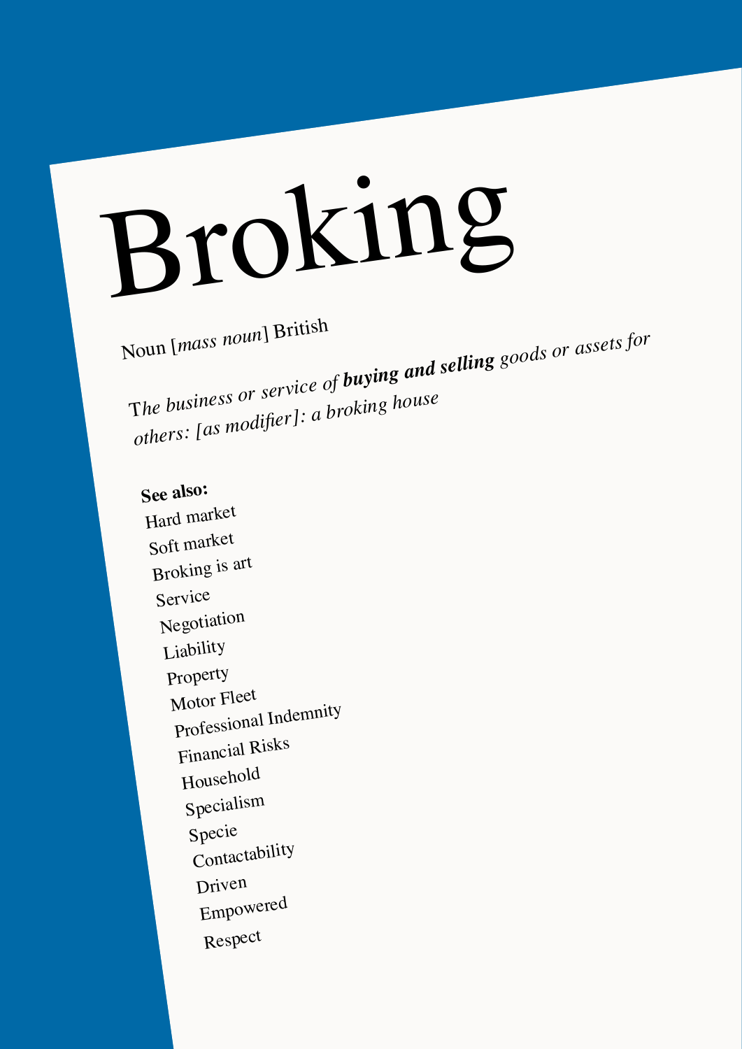## Broking

Noun [*mass noun*] British

T*he business or service of buying and selling goods or assets for others: [as modifier]: a broking house*

**See also:** Hard market Soft market Broking is art Service Negotiation Liability Property Motor Fleet Professional Indemnity Financial Risks Household Specialism Specie Contactability Driven Empowered Respect